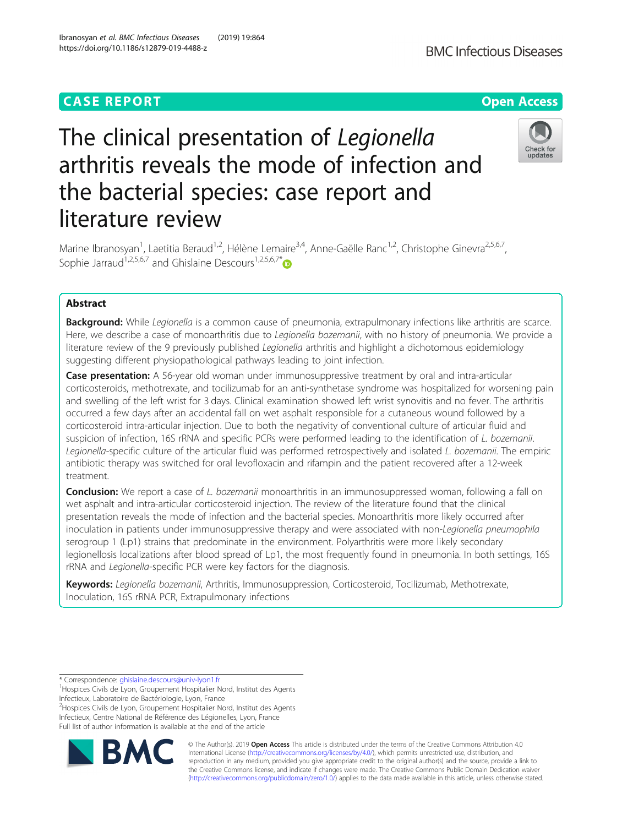# **CASE REPORT CASE ACCESS**

# The clinical presentation of Legionella arthritis reveals the mode of infection and the bacterial species: case report and literature review

Marine Ibranosyan<sup>1</sup>, Laetitia Beraud<sup>1,2</sup>, Hélène Lemaire<sup>3,4</sup>, Anne-Gaëlle Ranc<sup>1,2</sup>, Christophe Ginevra<sup>2,5,6,7</sup>, Sophie Jarraud<sup>1,2,5,6,7</sup> and Ghislaine Descours<sup>1,2,5,6,7\*</sup>

# Abstract

Background: While Legionella is a common cause of pneumonia, extrapulmonary infections like arthritis are scarce. Here, we describe a case of monoarthritis due to Legionella bozemanii, with no history of pneumonia. We provide a literature review of the 9 previously published Legionella arthritis and highlight a dichotomous epidemiology suggesting different physiopathological pathways leading to joint infection.

Case presentation: A 56-year old woman under immunosuppressive treatment by oral and intra-articular corticosteroids, methotrexate, and tocilizumab for an anti-synthetase syndrome was hospitalized for worsening pain and swelling of the left wrist for 3 days. Clinical examination showed left wrist synovitis and no fever. The arthritis occurred a few days after an accidental fall on wet asphalt responsible for a cutaneous wound followed by a corticosteroid intra-articular injection. Due to both the negativity of conventional culture of articular fluid and suspicion of infection, 16S rRNA and specific PCRs were performed leading to the identification of L. bozemanii. Legionella-specific culture of the articular fluid was performed retrospectively and isolated L. bozemanii. The empiric antibiotic therapy was switched for oral levofloxacin and rifampin and the patient recovered after a 12-week treatment.

**Conclusion:** We report a case of L. bozemanii monoarthritis in an immunosuppressed woman, following a fall on wet asphalt and intra-articular corticosteroid injection. The review of the literature found that the clinical presentation reveals the mode of infection and the bacterial species. Monoarthritis more likely occurred after inoculation in patients under immunosuppressive therapy and were associated with non-Legionella pneumophila serogroup 1 (Lp1) strains that predominate in the environment. Polyarthritis were more likely secondary legionellosis localizations after blood spread of Lp1, the most frequently found in pneumonia. In both settings, 16S rRNA and Legionella-specific PCR were key factors for the diagnosis.

Keywords: Legionella bozemanii, Arthritis, Immunosuppression, Corticosteroid, Tocilizumab, Methotrexate, Inoculation, 16S rRNA PCR, Extrapulmonary infections

<sup>2</sup>Hospices Civils de Lyon, Groupement Hospitalier Nord, Institut des Agents Infectieux, Centre National de Référence des Légionelles, Lyon, France

Full list of author information is available at the end of the article



© The Author(s). 2019 **Open Access** This article is distributed under the terms of the Creative Commons Attribution 4.0 International License [\(http://creativecommons.org/licenses/by/4.0/](http://creativecommons.org/licenses/by/4.0/)), which permits unrestricted use, distribution, and reproduction in any medium, provided you give appropriate credit to the original author(s) and the source, provide a link to the Creative Commons license, and indicate if changes were made. The Creative Commons Public Domain Dedication waiver [\(http://creativecommons.org/publicdomain/zero/1.0/](http://creativecommons.org/publicdomain/zero/1.0/)) applies to the data made available in this article, unless otherwise stated.



<sup>\*</sup> Correspondence: [ghislaine.descours@univ-lyon1.fr](mailto:ghislaine.descours@univ-lyon1.fr) <sup>1</sup>

<sup>&</sup>lt;sup>1</sup> Hospices Civils de Lyon, Groupement Hospitalier Nord, Institut des Agents Infectieux, Laboratoire de Bactériologie, Lyon, France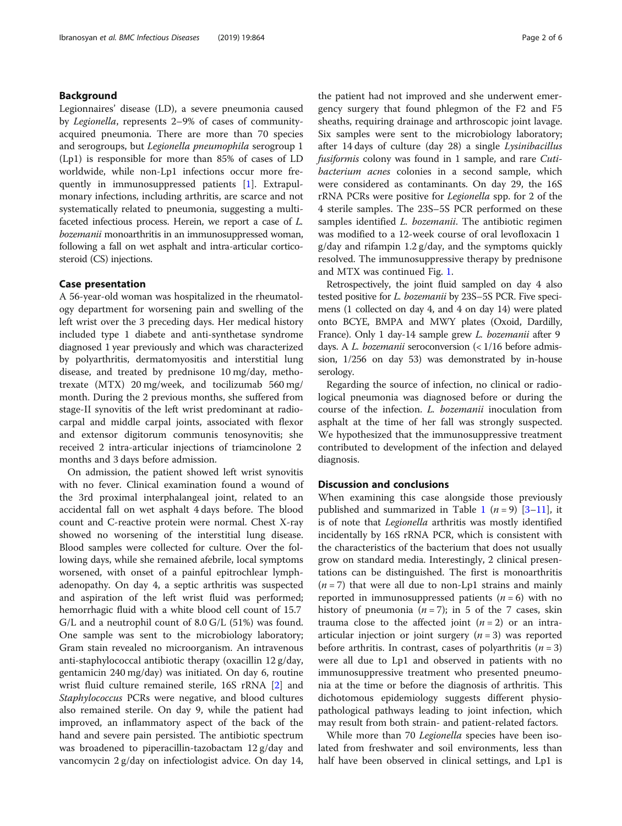# Background

Legionnaires' disease (LD), a severe pneumonia caused by Legionella, represents 2–9% of cases of communityacquired pneumonia. There are more than 70 species and serogroups, but Legionella pneumophila serogroup 1 (Lp1) is responsible for more than 85% of cases of LD worldwide, while non-Lp1 infections occur more frequently in immunosuppressed patients [[1\]](#page-4-0). Extrapulmonary infections, including arthritis, are scarce and not systematically related to pneumonia, suggesting a multifaceted infectious process. Herein, we report a case of L. bozemanii monoarthritis in an immunosuppressed woman, following a fall on wet asphalt and intra-articular corticosteroid (CS) injections.

## Case presentation

A 56-year-old woman was hospitalized in the rheumatology department for worsening pain and swelling of the left wrist over the 3 preceding days. Her medical history included type 1 diabete and anti-synthetase syndrome diagnosed 1 year previously and which was characterized by polyarthritis, dermatomyositis and interstitial lung disease, and treated by prednisone 10 mg/day, methotrexate (MTX) 20 mg/week, and tocilizumab 560 mg/ month. During the 2 previous months, she suffered from stage-II synovitis of the left wrist predominant at radiocarpal and middle carpal joints, associated with flexor and extensor digitorum communis tenosynovitis; she received 2 intra-articular injections of triamcinolone 2 months and 3 days before admission.

On admission, the patient showed left wrist synovitis with no fever. Clinical examination found a wound of the 3rd proximal interphalangeal joint, related to an accidental fall on wet asphalt 4 days before. The blood count and C-reactive protein were normal. Chest X-ray showed no worsening of the interstitial lung disease. Blood samples were collected for culture. Over the following days, while she remained afebrile, local symptoms worsened, with onset of a painful epitrochlear lymphadenopathy. On day 4, a septic arthritis was suspected and aspiration of the left wrist fluid was performed; hemorrhagic fluid with a white blood cell count of 15.7 G/L and a neutrophil count of 8.0 G/L (51%) was found. One sample was sent to the microbiology laboratory; Gram stain revealed no microorganism. An intravenous anti-staphylococcal antibiotic therapy (oxacillin 12 g/day, gentamicin 240 mg/day) was initiated. On day 6, routine wrist fluid culture remained sterile, 16S rRNA [[2\]](#page-4-0) and Staphylococcus PCRs were negative, and blood cultures also remained sterile. On day 9, while the patient had improved, an inflammatory aspect of the back of the hand and severe pain persisted. The antibiotic spectrum was broadened to piperacillin-tazobactam 12 g/day and vancomycin 2 g/day on infectiologist advice. On day 14, the patient had not improved and she underwent emergency surgery that found phlegmon of the F2 and F5 sheaths, requiring drainage and arthroscopic joint lavage. Six samples were sent to the microbiology laboratory; after 14 days of culture (day 28) a single Lysinibacillus fusiformis colony was found in 1 sample, and rare Cutibacterium acnes colonies in a second sample, which were considered as contaminants. On day 29, the 16S rRNA PCRs were positive for Legionella spp. for 2 of the 4 sterile samples. The 23S–5S PCR performed on these samples identified *L. bozemanii*. The antibiotic regimen was modified to a 12-week course of oral levofloxacin 1 g/day and rifampin 1.2 g/day, and the symptoms quickly resolved. The immunosuppressive therapy by prednisone and MTX was continued Fig. [1](#page-2-0).

Retrospectively, the joint fluid sampled on day 4 also tested positive for L. bozemanii by 23S–5S PCR. Five specimens (1 collected on day 4, and 4 on day 14) were plated onto BCYE, BMPA and MWY plates (Oxoid, Dardilly, France). Only 1 day-14 sample grew *L. bozemanii* after 9 days. A L. bozemanii seroconversion (< 1/16 before admission, 1/256 on day 53) was demonstrated by in-house serology.

Regarding the source of infection, no clinical or radiological pneumonia was diagnosed before or during the course of the infection. L. bozemanii inoculation from asphalt at the time of her fall was strongly suspected. We hypothesized that the immunosuppressive treatment contributed to development of the infection and delayed diagnosis.

# Discussion and conclusions

When examining this case alongside those previously published and summarized in Table [1](#page-3-0)  $(n = 9)$  [[3](#page-4-0)–[11\]](#page-4-0), it is of note that Legionella arthritis was mostly identified incidentally by 16S rRNA PCR, which is consistent with the characteristics of the bacterium that does not usually grow on standard media. Interestingly, 2 clinical presentations can be distinguished. The first is monoarthritis  $(n = 7)$  that were all due to non-Lp1 strains and mainly reported in immunosuppressed patients  $(n = 6)$  with no history of pneumonia  $(n = 7)$ ; in 5 of the 7 cases, skin trauma close to the affected joint  $(n = 2)$  or an intraarticular injection or joint surgery  $(n = 3)$  was reported before arthritis. In contrast, cases of polyarthritis  $(n = 3)$ were all due to Lp1 and observed in patients with no immunosuppressive treatment who presented pneumonia at the time or before the diagnosis of arthritis. This dichotomous epidemiology suggests different physiopathological pathways leading to joint infection, which may result from both strain- and patient-related factors.

While more than 70 Legionella species have been isolated from freshwater and soil environments, less than half have been observed in clinical settings, and Lp1 is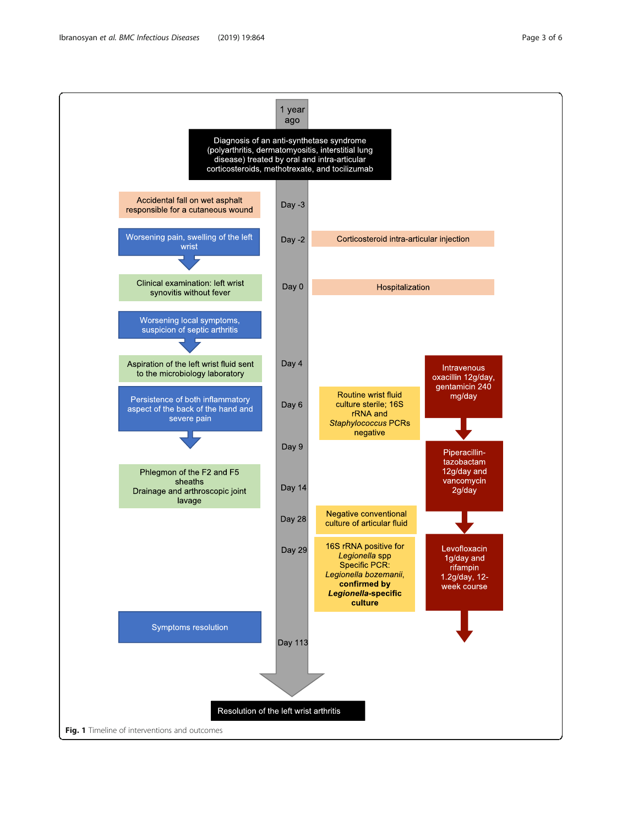<span id="page-2-0"></span>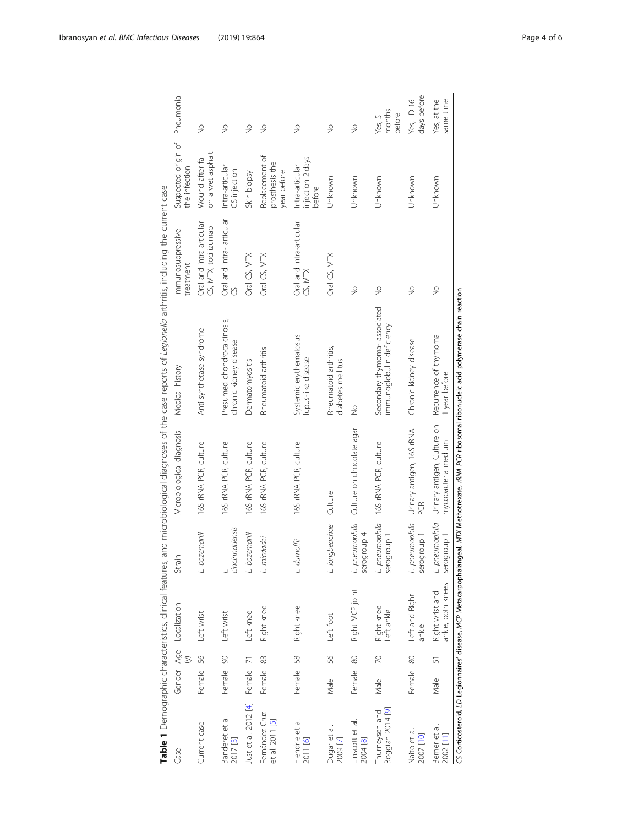<span id="page-3-0"></span>

|                                    |           |                |                                      |                               |                                                                          | Table 1 Demographic characteristics, clinical features, and microbiological diagnoses of the case reports of Legionella arthritis, including the current case |                                                  |                                                 |                            |
|------------------------------------|-----------|----------------|--------------------------------------|-------------------------------|--------------------------------------------------------------------------|---------------------------------------------------------------------------------------------------------------------------------------------------------------|--------------------------------------------------|-------------------------------------------------|----------------------------|
| Case                               |           |                | Gender Age Localization              | Strain                        | Microbiological diagnosis                                                | Medical history                                                                                                                                               | Immunosuppressive<br>treatment                   | Suspected origin of Pneumonia<br>the infection  |                            |
| Current case                       | Female 56 |                | Left wrist                           | L. bozemanii                  | 16S rRNA PCR, culture                                                    | Anti-synthetase syndrome                                                                                                                                      | Oral and intra-articular<br>CS, MTX, tocilizumab | on a wet asphalt<br>Wound after fall            | $\frac{1}{2}$              |
| Banderet et al.<br>2017 [3]        | Female 90 |                | Left wrist                           | cincinnatiensis               | 165 rRNA PCR, culture                                                    | Presumed chondrocalcinosis,<br>chronic kidney disease                                                                                                         | Oral and intra-articular                         | Intra-articular<br>CS injection                 | $\frac{1}{2}$              |
| Just et al. 2012 [4]               | Female    | $\overline{7}$ | Left knee                            | L. bozemanii                  | 165 rRNA PCR, culture                                                    | Dermatomyositis                                                                                                                                               | Oral CS, MTX                                     | Skin biopsy                                     | $\frac{1}{2}$              |
| Fernández-Cruz<br>et al. 2011 [5]  | Female    | 83             | Right knee                           | L. micdadei                   | 165 rRNA PCR, culture                                                    | Rheumatoid arthritis                                                                                                                                          | Oral CS, MTX                                     | Replacement of<br>prosthesis the<br>year before | $\frac{1}{2}$              |
| Flendrie et al.<br>2011 [6]        | Female 58 |                | Right knee                           | L. dumoffii                   | 165 rRNA PCR, culture                                                    | Systemic erythematosus<br>lupus-like disease                                                                                                                  | Oral and intra-articular<br>CS, MTX              | injection 2 days<br>Intra-articular<br>before   | $\frac{1}{2}$              |
| Dugar et al.<br>2009 [7]           | Male      | 56             | Left foot                            | L. longbeachae Culture        |                                                                          | Rheumatoid arthritis,<br>diabetes mellitus                                                                                                                    | Oral CS, MTX                                     | Unknown                                         | $\frac{1}{2}$              |
| Linscott et al.<br>2004 [8]        | Female 80 |                | Right MCP joint                      | serogroup 4                   | L. pneumophila Culture on chocolate agar                                 | $\frac{1}{2}$                                                                                                                                                 | $\frac{1}{2}$                                    | Unknown                                         | $\frac{1}{2}$              |
| Boggian 2014 [9]<br>Thurneysen and | Male      | $\overline{C}$ | Right knee<br>Left ankle             | serogroup 1                   | L. pneumophila 165 rRNA PCR, culture                                     | Secondary thymoma-associated<br>immunoglobulin deficiency                                                                                                     | $\frac{1}{2}$                                    | Unknown                                         | months<br>before<br>Yes, 5 |
| Naito et al.<br>2007 [10]          | Female 80 |                | Left and Right<br>ankle              | L. pneumophila<br>serogroup 1 | Urinary antigen, 16S rRNA<br>PCR.                                        | Chronic kidney disease                                                                                                                                        | $\frac{1}{2}$                                    | Unknown                                         | days before<br>Yes, LD 16  |
| Bemer et al.<br>2002 [11]          | Male      | 5              | ankle, both knees<br>Right wrist and | L. pneumophila<br>serogroup 1 | Urinary antigen, Culture on Recurrence of thymoma<br>mycobacteria medium | 1 year before                                                                                                                                                 | $\frac{1}{2}$                                    | Unknown                                         | Yes, at the<br>same time   |
|                                    |           |                |                                      |                               |                                                                          | CS Corticosteroid, LD Legionnaires' disease, MCP Metacarpophalangeal, MTX Methotrexate, rRWA PCR ribosomal ribonucleic acid polymerase chain reaction         |                                                  |                                                 |                            |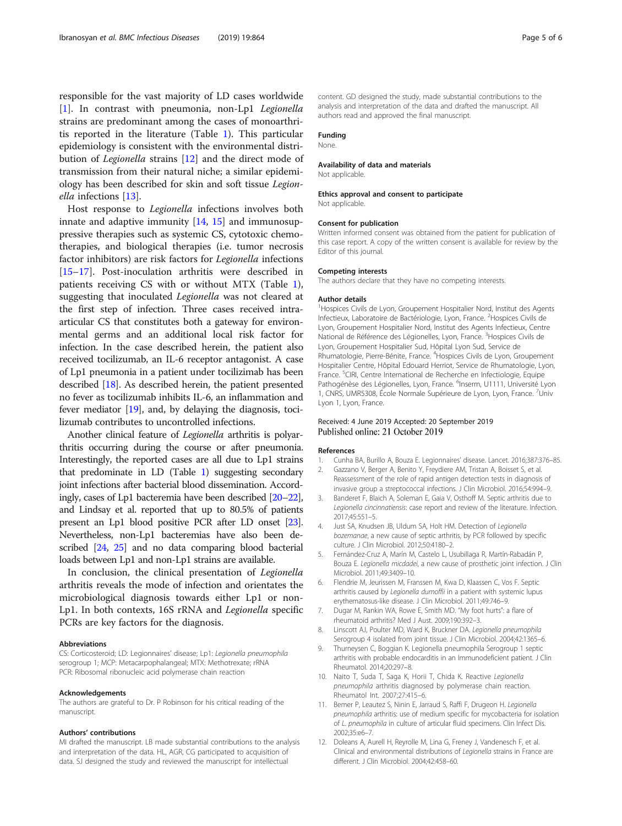<span id="page-4-0"></span>responsible for the vast majority of LD cases worldwide [1]. In contrast with pneumonia, non-Lp1 Legionella strains are predominant among the cases of monoarthritis reported in the literature (Table [1](#page-3-0)). This particular epidemiology is consistent with the environmental distribution of Legionella strains [12] and the direct mode of transmission from their natural niche; a similar epidemiology has been described for skin and soft tissue Legionella infections [\[13](#page-5-0)].

Host response to Legionella infections involves both innate and adaptive immunity  $[14, 15]$  $[14, 15]$  $[14, 15]$  $[14, 15]$  and immunosuppressive therapies such as systemic CS, cytotoxic chemotherapies, and biological therapies (i.e. tumor necrosis factor inhibitors) are risk factors for Legionella infections [[15](#page-5-0)–[17](#page-5-0)]. Post-inoculation arthritis were described in patients receiving CS with or without MTX (Table [1](#page-3-0)), suggesting that inoculated Legionella was not cleared at the first step of infection. Three cases received intraarticular CS that constitutes both a gateway for environmental germs and an additional local risk factor for infection. In the case described herein, the patient also received tocilizumab, an IL-6 receptor antagonist. A case of Lp1 pneumonia in a patient under tocilizimab has been described [\[18\]](#page-5-0). As described herein, the patient presented no fever as tocilizumab inhibits IL-6, an inflammation and fever mediator [\[19\]](#page-5-0), and, by delaying the diagnosis, tocilizumab contributes to uncontrolled infections.

Another clinical feature of Legionella arthritis is polyarthritis occurring during the course or after pneumonia. Interestingly, the reported cases are all due to Lp1 strains that predominate in LD (Table [1](#page-3-0)) suggesting secondary joint infections after bacterial blood dissemination. Accordingly, cases of Lp1 bacteremia have been described [[20](#page-5-0)–[22](#page-5-0)], and Lindsay et al. reported that up to 80.5% of patients present an Lp1 blood positive PCR after LD onset [\[23](#page-5-0)]. Nevertheless, non-Lp1 bacteremias have also been described [[24](#page-5-0), [25\]](#page-5-0) and no data comparing blood bacterial loads between Lp1 and non-Lp1 strains are available.

In conclusion, the clinical presentation of *Legionella* arthritis reveals the mode of infection and orientates the microbiological diagnosis towards either Lp1 or non-Lp1. In both contexts, 16S rRNA and Legionella specific PCRs are key factors for the diagnosis.

#### Abbreviations

CS: Corticosteroid; LD: Legionnaires' disease; Lp1: Legionella pneumophila serogroup 1; MCP: Metacarpophalangeal; MTX: Methotrexate; rRNA PCR: Ribosomal ribonucleic acid polymerase chain reaction

#### Acknowledgements

The authors are grateful to Dr. P Robinson for his critical reading of the manuscript.

#### Authors' contributions

MI drafted the manuscript. LB made substantial contributions to the analysis and interpretation of the data. HL, AGR, CG participated to acquisition of data. SJ designed the study and reviewed the manuscript for intellectual

content. GD designed the study, made substantial contributions to the analysis and interpretation of the data and drafted the manuscript. All authors read and approved the final manuscript.

#### Funding

None.

#### Availability of data and materials

Not applicable.

#### Ethics approval and consent to participate Not applicable

#### Consent for publication

Written informed consent was obtained from the patient for publication of this case report. A copy of the written consent is available for review by the Editor of this journal.

#### Competing interests

The authors declare that they have no competing interests.

#### Author details

<sup>1</sup> Hospices Civils de Lyon, Groupement Hospitalier Nord, Institut des Agents Infectieux, Laboratoire de Bactériologie, Lyon, France. <sup>2</sup>Hospices Civils de Lyon, Groupement Hospitalier Nord, Institut des Agents Infectieux, Centre National de Référence des Légionelles, Lyon, France. <sup>3</sup> Hospices Civils de Lyon, Groupement Hospitalier Sud, Hôpital Lyon Sud, Service de Rhumatologie, Pierre-Bénite, France. <sup>4</sup>Hospices Civils de Lyon, Groupement Hospitalier Centre, Hôpital Edouard Herriot, Service de Rhumatologie, Lyon, France. <sup>5</sup>CIRI, Centre International de Recherche en Infectiologie, Equipe Pathogénèse des Légionelles, Lyon, France. <sup>6</sup>Inserm, U1111, Université Lyon 1, CNRS, UMR5308, École Normale Supérieure de Lyon, Lyon, France. <sup>7</sup>Univ Lyon 1, Lyon, France.

### Received: 4 June 2019 Accepted: 20 September 2019 Published online: 21 October 2019

#### References

- 1. Cunha BA, Burillo A, Bouza E. Legionnaires' disease. Lancet. 2016;387:376–85.
- 2. Gazzano V, Berger A, Benito Y, Freydiere AM, Tristan A, Boisset S, et al. Reassessment of the role of rapid antigen detection tests in diagnosis of invasive group a streptococcal infections. J Clin Microbiol. 2016;54:994–9.
- 3. Banderet F, Blaich A, Soleman E, Gaia V, Osthoff M. Septic arthritis due to Legionella cincinnatiensis: case report and review of the literature. Infection. 2017;45:551–5.
- 4. Just SA, Knudsen JB, Uldum SA, Holt HM. Detection of Legionella bozemanae, a new cause of septic arthritis, by PCR followed by specific culture. J Clin Microbiol. 2012;50:4180–2.
- 5. Fernández-Cruz A, Marín M, Castelo L, Usubillaga R, Martín-Rabadán P, Bouza E. Legionella micdadei, a new cause of prosthetic joint infection. J Clin Microbiol. 2011;49:3409–10.
- 6. Flendrie M, Jeurissen M, Franssen M, Kwa D, Klaassen C, Vos F. Septic arthritis caused by Legionella dumoffii in a patient with systemic lupus erythematosus-like disease. J Clin Microbiol. 2011;49:746–9.
- 7. Dugar M, Rankin WA, Rowe E, Smith MD. "My foot hurts": a flare of rheumatoid arthritis? Med J Aust. 2009;190:392–3.
- 8. Linscott AJ, Poulter MD, Ward K, Bruckner DA. Legionella pneumophila Serogroup 4 isolated from joint tissue. J Clin Microbiol. 2004;42:1365–6.
- 9. Thurneysen C, Boggian K. Legionella pneumophila Serogroup 1 septic arthritis with probable endocarditis in an Immunodeficient patient. J Clin Rheumatol. 2014;20:297–8.
- 10. Naito T, Suda T, Saga K, Horii T, Chida K. Reactive Legionella pneumophila arthritis diagnosed by polymerase chain reaction. Rheumatol Int. 2007;27:415–6.
- 11. Bemer P, Leautez S, Ninin E, Jarraud S, Raffi F, Drugeon H. Legionella pneumophila arthritis: use of medium specific for mycobacteria for isolation of L. pneumophila in culture of articular fluid specimens. Clin Infect Dis. 2002;35:e6–7.
- 12. Doleans A, Aurell H, Reyrolle M, Lina G, Freney J, Vandenesch F, et al. Clinical and environmental distributions of Legionella strains in France are different. J Clin Microbiol. 2004;42:458–60.